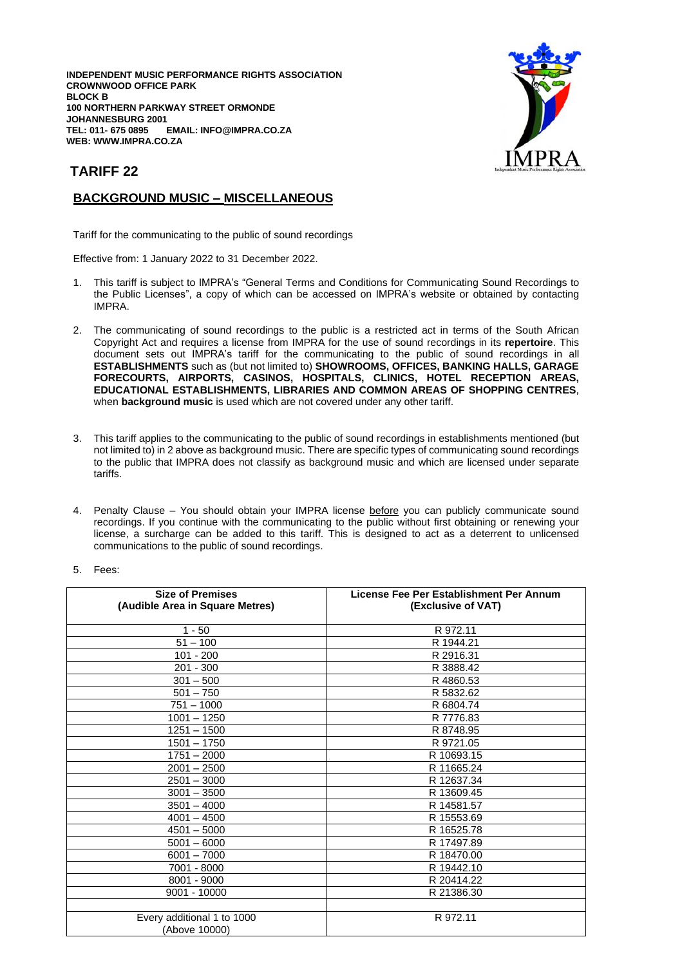**INDEPENDENT MUSIC PERFORMANCE RIGHTS ASSOCIATION CROWNWOOD OFFICE PARK BLOCK B 100 NORTHERN PARKWAY STREET ORMONDE JOHANNESBURG 2001**  $EMAIL: INFO@IMPRA.CO.ZA$ **WEB: WWW.IMPRA.CO.ZA**



## **TARIFF 22**

## **BACKGROUND MUSIC – MISCELLANEOUS**

Tariff for the communicating to the public of sound recordings

Effective from: 1 January 2022 to 31 December 2022.

- 1. This tariff is subject to IMPRA's "General Terms and Conditions for Communicating Sound Recordings to the Public Licenses", a copy of which can be accessed on IMPRA's website or obtained by contacting IMPRA.
- 2. The communicating of sound recordings to the public is a restricted act in terms of the South African Copyright Act and requires a license from IMPRA for the use of sound recordings in its **repertoire**. This document sets out IMPRA's tariff for the communicating to the public of sound recordings in all **ESTABLISHMENTS** such as (but not limited to) **SHOWROOMS, OFFICES, BANKING HALLS, GARAGE FORECOURTS, AIRPORTS, CASINOS, HOSPITALS, CLINICS, HOTEL RECEPTION AREAS, EDUCATIONAL ESTABLISHMENTS, LIBRARIES AND COMMON AREAS OF SHOPPING CENTRES**, when **background music** is used which are not covered under any other tariff.
- 3. This tariff applies to the communicating to the public of sound recordings in establishments mentioned (but not limited to) in 2 above as background music. There are specific types of communicating sound recordings to the public that IMPRA does not classify as background music and which are licensed under separate tariffs.
- 4. Penalty Clause You should obtain your IMPRA license before you can publicly communicate sound recordings. If you continue with the communicating to the public without first obtaining or renewing your license, a surcharge can be added to this tariff. This is designed to act as a deterrent to unlicensed communications to the public of sound recordings.

| ees: |
|------|
|      |

| <b>Size of Premises</b><br>(Audible Area in Square Metres) | License Fee Per Establishment Per Annum<br>(Exclusive of VAT) |
|------------------------------------------------------------|---------------------------------------------------------------|
| $1 - 50$                                                   | R 972.11                                                      |
| $51 - 100$                                                 | R 1944.21                                                     |
| 101 - 200                                                  | R 2916.31                                                     |
| $201 - 300$                                                | R 3888.42                                                     |
| $301 - 500$                                                | R4860.53                                                      |
| $501 - 750$                                                | R 5832.62                                                     |
| $751 - 1000$                                               | R 6804.74                                                     |
| $1001 - 1250$                                              | R 7776.83                                                     |
| $1251 - 1500$                                              | R 8748.95                                                     |
| $1501 - 1750$                                              | R 9721.05                                                     |
| $1751 - 2000$                                              | R 10693.15                                                    |
| $2001 - 2500$                                              | R 11665.24                                                    |
| $2501 - 3000$                                              | R 12637.34                                                    |
| $3001 - 3500$                                              | R 13609.45                                                    |
| $3501 - 4000$                                              | R 14581.57                                                    |
| $4001 - 4500$                                              | R 15553.69                                                    |
| $4501 - 5000$                                              | R 16525.78                                                    |
| $5001 - 6000$                                              | R 17497.89                                                    |
| $6001 - 7000$                                              | R 18470.00                                                    |
| 7001 - 8000                                                | R 19442.10                                                    |
| 8001 - 9000                                                | R 20414.22                                                    |
| 9001 - 10000                                               | R 21386.30                                                    |
|                                                            |                                                               |
| Every additional 1 to 1000<br>(Above 10000)                | R 972.11                                                      |